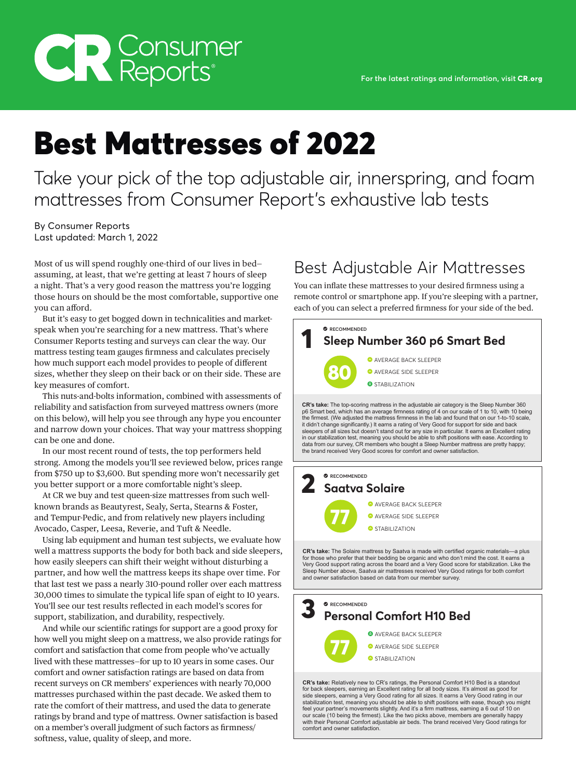## Best Mattresses of 2022

**CR** Consumer

Take your pick of the top adjustable air, innerspring, and foam mattresses from Consumer Report's exhaustive lab tests

## By Consumer Reports Last updated: March 1, 2022

Most of us will spend roughly one-third of our lives in bed assuming, at least, that we're getting at least 7 hours of sleep a night. That's a very good reason the mattress you're logging those hours on should be the most comfortable, supportive one you can afford.

But it's easy to get bogged down in technicalities and marketspeak when you're searching for a new mattress. That's where Consumer Reports testing and surveys can clear the way. Our mattress testing team gauges firmness and calculates precisely how much support each model provides to people of different sizes, whether they sleep on their back or on their side. These are key measures of comfort.

This nuts-and-bolts information, combined with assessments of reliability and satisfaction from surveyed mattress owners (more on this below), will help you see through any hype you encounter and narrow down your choices. That way your mattress shopping can be one and done.

In our most recent round of tests, the top performers held strong. Among the models you'll see reviewed below, prices range from \$750 up to \$3,600. But spending more won't necessarily get you better support or a more comfortable night's sleep.

At CR we buy and test queen-size mattresses from such wellknown brands as Beautyrest, Sealy, Serta, Stearns & Foster, and Tempur-Pedic, and from relatively new players including Avocado, Casper, Leesa, Reverie, and Tuft & Needle.

Using lab equipment and human test subjects, we evaluate how well a mattress supports the body for both back and side sleepers, how easily sleepers can shift their weight without disturbing a partner, and how well the mattress keeps its shape over time. For that last test we pass a nearly 310-pound roller over each mattress 30,000 times to simulate the typical life span of eight to 10 years. You'll see our test results reflected in each model's scores for support, stabilization, and durability, respectively.

And while our scientific ratings for support are a good proxy for how well you might sleep on a mattress, we also provide ratings for comfort and satisfaction that come from people who've actually lived with these mattresses—for up to 10 years in some cases. Our comfort and owner satisfaction ratings are based on data from recent surveys on CR members' experiences with nearly 70,000 mattresses purchased within the past decade. We asked them to rate the comfort of their mattress, and used the data to generate ratings by brand and type of mattress. Owner satisfaction is based on a member's overall judgment of such factors as firmness/ softness, value, quality of sleep, and more.

## Best Adjustable Air Mattresses

You can inflate these mattresses to your desired firmness using a remote control or smartphone app. If you're sleeping with a partner, each of you can select a preferred firmness for your side of the bed.



p6 Smart bed, which has an average firmness rating of 4 on our scale of 1 to 10, with 10 being the firmest. (We adjusted the mattress firmness in the lab and found that on our 1-to-10 scale, it didn't change significantly.) It earns a rating of Very Good for support for side and back sleepers of all sizes but doesn't stand out for any size in particular. It earns an Excellent rating in our stabilization test, meaning you should be able to shift positions with ease. According to data from our survey, CR members who bought a Sleep Number mattress are pretty happy; the brand received Very Good scores for comfort and owner satisfaction.



**CR's take:** The Solaire mattress by Saatva is made with certified organic materials—a plus for those who prefer that their bedding be organic and who don't mind the cost. It earns a Very Good support rating across the board and a Very Good score for stabilization. Like the ep Number above, Saatva air mattresses received Very Good ratings for both comfort and owner satisfaction based on data from our member survey.



**CR's take:** Relatively new to CR's ratings, the Personal Comfort H10 Bed is a standout for back sleepers, earning an Excellent rating for all body sizes. It's almost as good for side sleepers, earning a Very Good rating for all sizes. It earns a Very Good rating in our stabilization test, meaning you should be able to shift positions with ease, though you might feel your partner's movements slightly. And it's a firm mattress, earning a 6 out of 10 on our scale (10 being the firmest). Like the two picks above, members are generally happy with their Personal Comfort adjustable air beds. The brand received Very Good ratings for comfort and owner satisfaction.